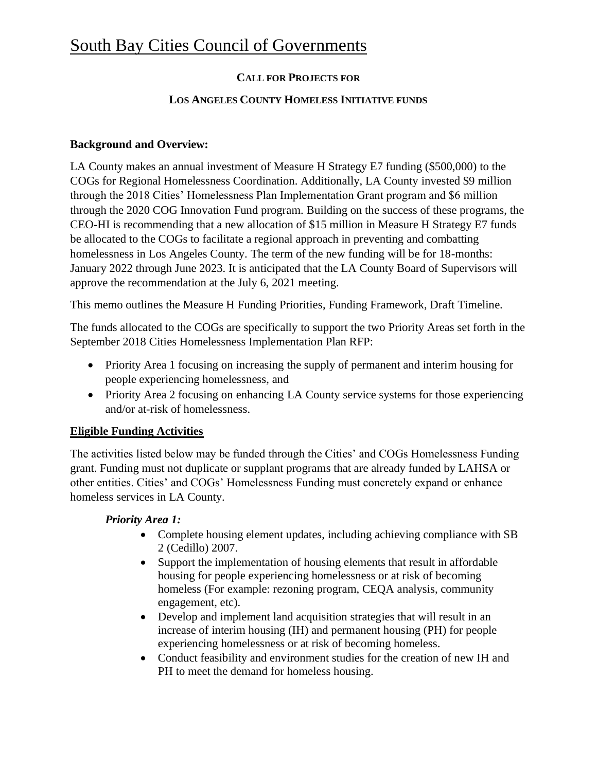# **CALL FOR PROJECTS FOR**

#### **LOS ANGELES COUNTY HOMELESS INITIATIVE FUNDS**

### **Background and Overview:**

LA County makes an annual investment of Measure H Strategy E7 funding (\$500,000) to the COGs for Regional Homelessness Coordination. Additionally, LA County invested \$9 million through the 2018 Cities' Homelessness Plan Implementation Grant program and \$6 million through the 2020 COG Innovation Fund program. Building on the success of these programs, the CEO-HI is recommending that a new allocation of \$15 million in Measure H Strategy E7 funds be allocated to the COGs to facilitate a regional approach in preventing and combatting homelessness in Los Angeles County. The term of the new funding will be for 18-months: January 2022 through June 2023. It is anticipated that the LA County Board of Supervisors will approve the recommendation at the July 6, 2021 meeting.

This memo outlines the Measure H Funding Priorities, Funding Framework, Draft Timeline.

The funds allocated to the COGs are specifically to support the two Priority Areas set forth in the September 2018 Cities Homelessness Implementation Plan RFP:

- Priority Area 1 focusing on increasing the supply of permanent and interim housing for people experiencing homelessness, and
- Priority Area 2 focusing on enhancing LA County service systems for those experiencing and/or at-risk of homelessness.

# **Eligible Funding Activities**

The activities listed below may be funded through the Cities' and COGs Homelessness Funding grant. Funding must not duplicate or supplant programs that are already funded by LAHSA or other entities. Cities' and COGs' Homelessness Funding must concretely expand or enhance homeless services in LA County.

### *Priority Area 1:*

- Complete housing element updates, including achieving compliance with SB 2 (Cedillo) 2007.
- Support the implementation of housing elements that result in affordable housing for people experiencing homelessness or at risk of becoming homeless (For example: rezoning program, CEQA analysis, community engagement, etc).
- Develop and implement land acquisition strategies that will result in an increase of interim housing (IH) and permanent housing (PH) for people experiencing homelessness or at risk of becoming homeless.
- Conduct feasibility and environment studies for the creation of new IH and PH to meet the demand for homeless housing.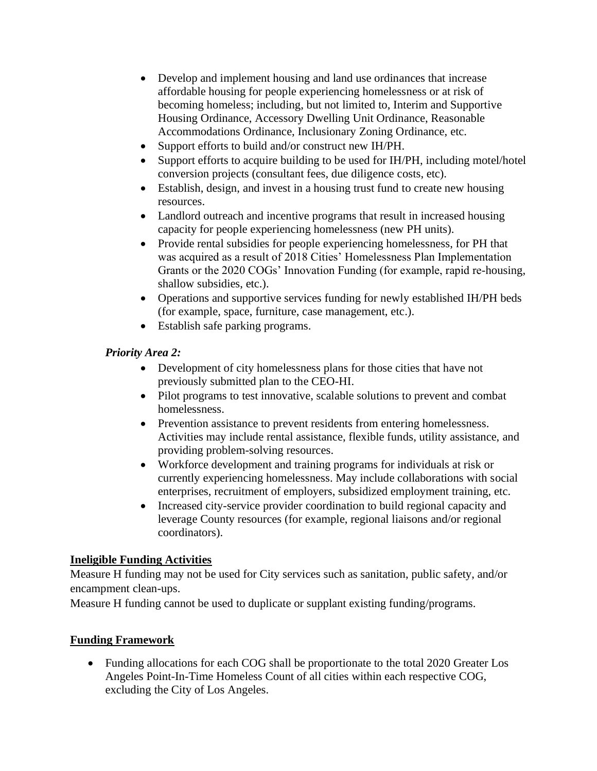- Develop and implement housing and land use ordinances that increase affordable housing for people experiencing homelessness or at risk of becoming homeless; including, but not limited to, Interim and Supportive Housing Ordinance, Accessory Dwelling Unit Ordinance, Reasonable Accommodations Ordinance, Inclusionary Zoning Ordinance, etc.
- Support efforts to build and/or construct new IH/PH.
- Support efforts to acquire building to be used for IH/PH, including motel/hotel conversion projects (consultant fees, due diligence costs, etc).
- Establish, design, and invest in a housing trust fund to create new housing resources.
- Landlord outreach and incentive programs that result in increased housing capacity for people experiencing homelessness (new PH units).
- Provide rental subsidies for people experiencing homelessness, for PH that was acquired as a result of 2018 Cities' Homelessness Plan Implementation Grants or the 2020 COGs' Innovation Funding (for example, rapid re-housing, shallow subsidies, etc.).
- Operations and supportive services funding for newly established IH/PH beds (for example, space, furniture, case management, etc.).
- Establish safe parking programs.

### *Priority Area 2:*

- Development of city homelessness plans for those cities that have not previously submitted plan to the CEO-HI.
- Pilot programs to test innovative, scalable solutions to prevent and combat homelessness.
- Prevention assistance to prevent residents from entering homelessness. Activities may include rental assistance, flexible funds, utility assistance, and providing problem-solving resources.
- Workforce development and training programs for individuals at risk or currently experiencing homelessness. May include collaborations with social enterprises, recruitment of employers, subsidized employment training, etc.
- Increased city-service provider coordination to build regional capacity and leverage County resources (for example, regional liaisons and/or regional coordinators).

### **Ineligible Funding Activities**

Measure H funding may not be used for City services such as sanitation, public safety, and/or encampment clean-ups.

Measure H funding cannot be used to duplicate or supplant existing funding/programs.

### **Funding Framework**

• Funding allocations for each COG shall be proportionate to the total 2020 Greater Los Angeles Point-In-Time Homeless Count of all cities within each respective COG, excluding the City of Los Angeles.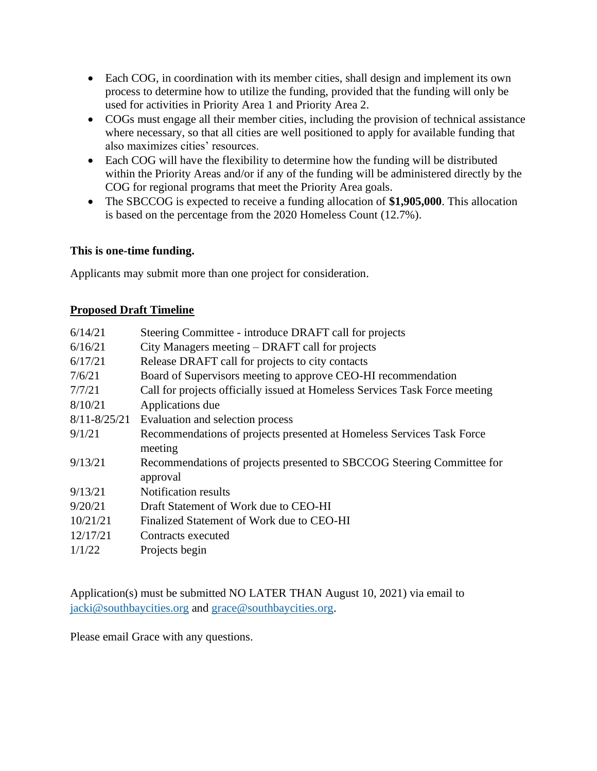- Each COG, in coordination with its member cities, shall design and implement its own process to determine how to utilize the funding, provided that the funding will only be used for activities in Priority Area 1 and Priority Area 2.
- COGs must engage all their member cities, including the provision of technical assistance where necessary, so that all cities are well positioned to apply for available funding that also maximizes cities' resources.
- Each COG will have the flexibility to determine how the funding will be distributed within the Priority Areas and/or if any of the funding will be administered directly by the COG for regional programs that meet the Priority Area goals.
- The SBCCOG is expected to receive a funding allocation of **\$1,905,000**. This allocation is based on the percentage from the 2020 Homeless Count (12.7%).

### **This is one-time funding.**

Applicants may submit more than one project for consideration.

## **Proposed Draft Timeline**

| 6/14/21          | Steering Committee - introduce DRAFT call for projects                      |
|------------------|-----------------------------------------------------------------------------|
| 6/16/21          | City Managers meeting – DRAFT call for projects                             |
| 6/17/21          | Release DRAFT call for projects to city contacts                            |
| 7/6/21           | Board of Supervisors meeting to approve CEO-HI recommendation               |
| 7/7/21           | Call for projects officially issued at Homeless Services Task Force meeting |
| 8/10/21          | Applications due                                                            |
| $8/11 - 8/25/21$ | Evaluation and selection process                                            |
| 9/1/21           | Recommendations of projects presented at Homeless Services Task Force       |
|                  | meeting                                                                     |
| 9/13/21          | Recommendations of projects presented to SBCCOG Steering Committee for      |
|                  | approval                                                                    |
| 9/13/21          | <b>Notification results</b>                                                 |
| 9/20/21          | Draft Statement of Work due to CEO-HI                                       |
| 10/21/21         | Finalized Statement of Work due to CEO-HI                                   |
| 12/17/21         | Contracts executed                                                          |
| 1/1/22           | Projects begin                                                              |
|                  |                                                                             |

Application(s) must be submitted NO LATER THAN August 10, 2021) via email to [jacki@southbaycities.org](mailto:jacki@southbaycities.org) and [grace@southbaycities.org.](mailto:grace@southbaycities.org)

Please email Grace with any questions.